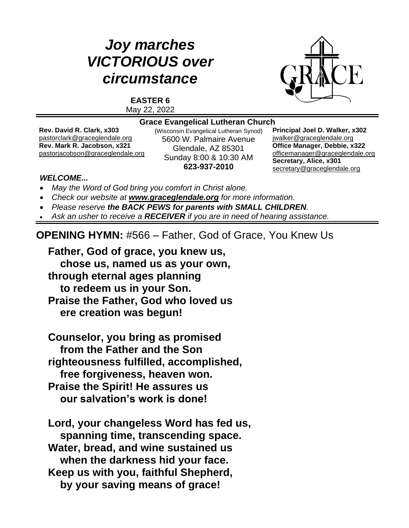# *Joy marches VICTORIOUS over circumstance*



**EASTER 6** May 22, 2022

#### **Grace Evangelical Lutheran Church**

**Rev. David R. Clark, x303** [pastorclark@graceglendale.org](mailto:pastorclark@graceglendale.org) **Rev. Mark R. Jacobson, x321** [pastorjacobson@graceglendale.org](mailto:pastorjacobson@graceglendale.org) {Wisconsin Evangelical Lutheran Synod} 5600 W. Palmaire Avenue Glendale, AZ 85301 Sunday 8:00 & 10:30 AM **623-937-2010**

**Principal Joel D. Walker, x302** jwalke[r@graceglendale.org](mailto:ejfredrich@graceglendale.org) **Office Manager, Debbie, x322** [officemanager@graceglendale.org](mailto:officemanager@graceglendale.org) **Secretary, Alice, x301** [secretary@graceglendale.org](mailto:secretary@graceglendale.org)

#### *WELCOME...*

- *May the Word of God bring you comfort in Christ alone.*
- *Check our website at [www.graceglendale.org](http://www.graceglendale.org/) for more information.*
- *Please reserve the BACK PEWS for parents with SMALL CHILDREN.*
- *Ask an usher to receive a RECEIVER if you are in need of hearing assistance.*

**OPENING HYMN:** #566 – Father, God of Grace, You Knew Us

**Father, God of grace, you knew us, chose us, named us as your own, through eternal ages planning to redeem us in your Son. Praise the Father, God who loved us ere creation was begun!**

**Counselor, you bring as promised from the Father and the Son righteousness fulfilled, accomplished, free forgiveness, heaven won. Praise the Spirit! He assures us our salvation's work is done!**

**Lord, your changeless Word has fed us, spanning time, transcending space. Water, bread, and wine sustained us when the darkness hid your face. Keep us with you, faithful Shepherd, by your saving means of grace!**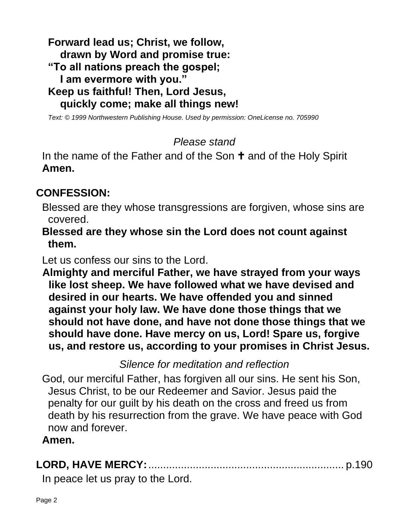**Forward lead us; Christ, we follow, drawn by Word and promise true: "To all nations preach the gospel; I am evermore with you." Keep us faithful! Then, Lord Jesus, quickly come; make all things new!**

*Text: © 1999 Northwestern Publishing House. Used by permission: OneLicense no. 705990*

## *Please stand*

In the name of the Father and of the Son  $\dagger$  and of the Holy Spirit **Amen.**

# **CONFESSION:**

Blessed are they whose transgressions are forgiven, whose sins are covered.

**Blessed are they whose sin the Lord does not count against them.**

Let us confess our sins to the Lord.

**Almighty and merciful Father, we have strayed from your ways like lost sheep. We have followed what we have devised and desired in our hearts. We have offended you and sinned against your holy law. We have done those things that we should not have done, and have not done those things that we should have done. Have mercy on us, Lord! Spare us, forgive us, and restore us, according to your promises in Christ Jesus.**

*Silence for meditation and reflection*

God, our merciful Father, has forgiven all our sins. He sent his Son, Jesus Christ, to be our Redeemer and Savior. Jesus paid the penalty for our guilt by his death on the cross and freed us from death by his resurrection from the grave. We have peace with God now and forever.

#### **Amen.**

|--|--|

In peace let us pray to the Lord.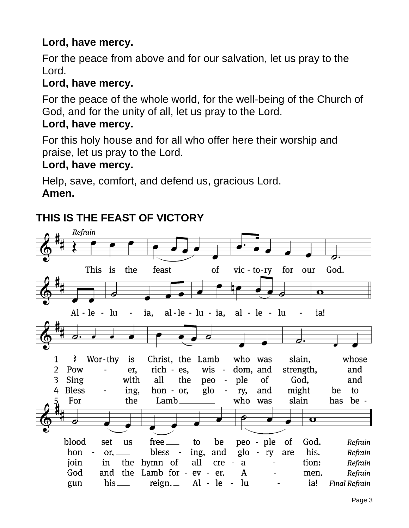# **Lord, have mercy.**

For the peace from above and for our salvation, let us pray to the Lord.

## **Lord, have mercy.**

For the peace of the whole world, for the well-being of the Church of God, and for the unity of all, let us pray to the Lord.

## **Lord, have mercy.**

For this holy house and for all who offer here their worship and praise, let us pray to the Lord.

## **Lord, have mercy.**

Help, save, comfort, and defend us, gracious Lord. **Amen.**

# **THIS IS THE FEAST OF VICTORY**

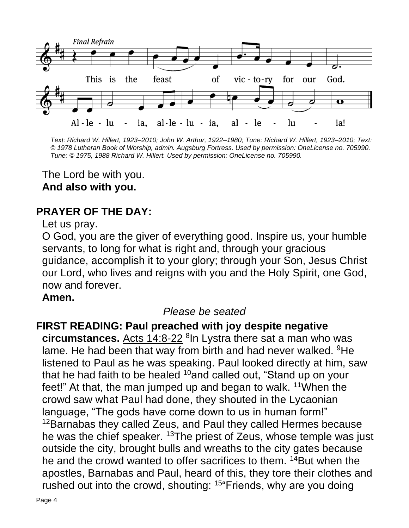

*Text: Richard W. Hillert, 1923–2010; John W. Arthur, 1922–1980; Tune: Richard W. Hillert, 1923–2010; Text: © 1978 Lutheran Book of Worship, admin. Augsburg Fortress. Used by permission: OneLicense no. 705990. Tune: © 1975, 1988 Richard W. Hillert. Used by permission: OneLicense no. 705990.*

The Lord be with you. **And also with you.**

# **PRAYER OF THE DAY:**

Let us pray.

O God, you are the giver of everything good. Inspire us, your humble servants, to long for what is right and, through your gracious guidance, accomplish it to your glory; through your Son, Jesus Christ our Lord, who lives and reigns with you and the Holy Spirit, one God, now and forever.

#### **Amen.**

## *Please be seated*

## **FIRST READING: Paul preached with joy despite negative**

**circumstances.** Acts 14:8-22 <sup>8</sup> In Lystra there sat a man who was lame. He had been that way from birth and had never walked. <sup>9</sup>He listened to Paul as he was speaking. Paul looked directly at him, saw that he had faith to be healed  $10$  and called out, "Stand up on your feet!" At that, the man jumped up and began to walk.  $11$ When the crowd saw what Paul had done, they shouted in the Lycaonian language, "The gods have come down to us in human form!" <sup>12</sup>Barnabas they called Zeus, and Paul they called Hermes because he was the chief speaker. <sup>13</sup>The priest of Zeus, whose temple was just outside the city, brought bulls and wreaths to the city gates because he and the crowd wanted to offer sacrifices to them. <sup>14</sup>But when the apostles, Barnabas and Paul, heard of this, they tore their clothes and rushed out into the crowd, shouting: <sup>15"</sup>Friends, why are you doing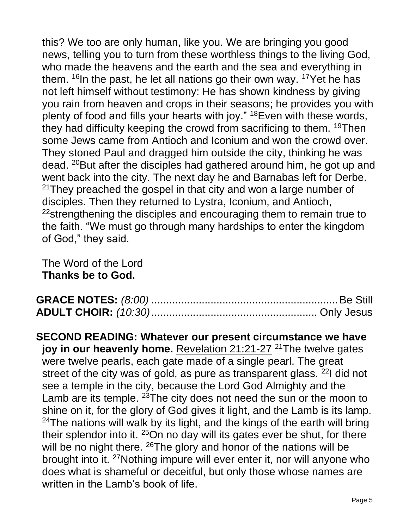this? We too are only human, like you. We are bringing you good news, telling you to turn from these worthless things to the living God, who made the heavens and the earth and the sea and everything in them.  $16$ In the past, he let all nations go their own way.  $17$ Yet he has not left himself without testimony: He has shown kindness by giving you rain from heaven and crops in their seasons; he provides you with plenty of food and fills your hearts with joy." <sup>18</sup>Even with these words, they had difficulty keeping the crowd from sacrificing to them. <sup>19</sup>Then some Jews came from Antioch and Iconium and won the crowd over. They stoned Paul and dragged him outside the city, thinking he was dead. <sup>20</sup>But after the disciples had gathered around him, he got up and went back into the city. The next day he and Barnabas left for Derbe.  $21$ They preached the gospel in that city and won a large number of disciples. Then they returned to Lystra, Iconium, and Antioch, <sup>22</sup>strengthening the disciples and encouraging them to remain true to the faith. "We must go through many hardships to enter the kingdom of God," they said.

The Word of the Lord **Thanks be to God.**

**SECOND READING: Whatever our present circumstance we have joy in our heavenly home.** Revelation 21:21-27<sup>21</sup>The twelve gates were twelve pearls, each gate made of a single pearl. The great street of the city was of gold, as pure as transparent glass. <sup>22</sup>I did not see a temple in the city, because the Lord God Almighty and the Lamb are its temple. <sup>23</sup>The city does not need the sun or the moon to shine on it, for the glory of God gives it light, and the Lamb is its lamp.  $24$ The nations will walk by its light, and the kings of the earth will bring their splendor into it. <sup>25</sup>On no day will its gates ever be shut, for there will be no night there. <sup>26</sup>The glory and honor of the nations will be brought into it. <sup>27</sup>Nothing impure will ever enter it, nor will anyone who does what is shameful or deceitful, but only those whose names are written in the Lamb's book of life.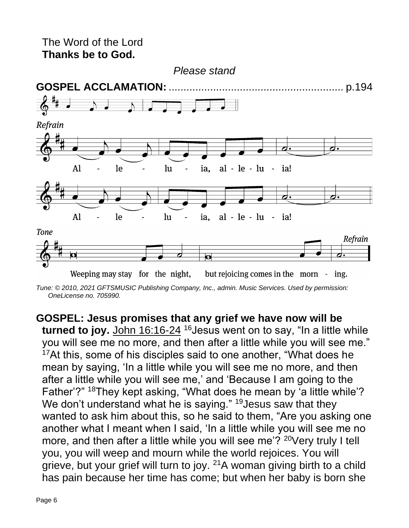

*Tune: © 2010, 2021 GFTSMUSIC Publishing Company, Inc., admin. Music Services. Used by permission: OneLicense no. 705990.*

**GOSPEL: Jesus promises that any grief we have now will be**  turned to joy. John 16:16-24<sup>16</sup> Jesus went on to say, "In a little while you will see me no more, and then after a little while you will see me."  $17$ At this, some of his disciples said to one another, "What does he mean by saying, 'In a little while you will see me no more, and then after a little while you will see me,' and 'Because I am going to the Father'?" <sup>18</sup>They kept asking, "What does he mean by 'a little while'? We don't understand what he is saying."  $19$  Jesus saw that they wanted to ask him about this, so he said to them, "Are you asking one another what I meant when I said, 'In a little while you will see me no more, and then after a little while you will see me'? <sup>20</sup>Very truly I tell you, you will weep and mourn while the world rejoices. You will grieve, but your grief will turn to joy.  $21A$  woman giving birth to a child has pain because her time has come; but when her baby is born she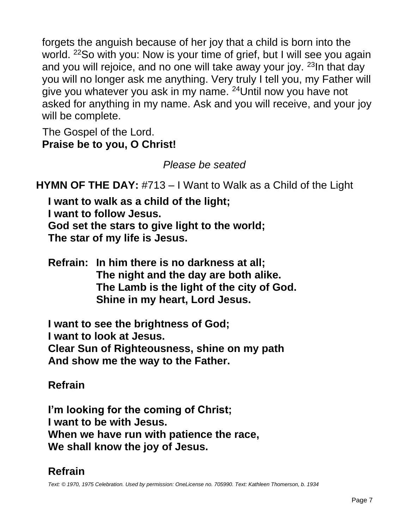forgets the anguish because of her joy that a child is born into the world. <sup>22</sup>So with you: Now is your time of grief, but I will see you again and you will rejoice, and no one will take away your joy. <sup>23</sup>In that day you will no longer ask me anything. Very truly I tell you, my Father will give you whatever you ask in my name. <sup>24</sup>Until now you have not asked for anything in my name. Ask and you will receive, and your joy will be complete.

The Gospel of the Lord. **Praise be to you, O Christ!**

*Please be seated*

**HYMN OF THE DAY:** #713 – I Want to Walk as a Child of the Light

**I want to walk as a child of the light; I want to follow Jesus. God set the stars to give light to the world; The star of my life is Jesus.**

**Refrain: In him there is no darkness at all; The night and the day are both alike. The Lamb is the light of the city of God. Shine in my heart, Lord Jesus.**

**I want to see the brightness of God;**

**I want to look at Jesus.**

**Clear Sun of Righteousness, shine on my path**

**And show me the way to the Father.**

**Refrain**

**I'm looking for the coming of Christ; I want to be with Jesus. When we have run with patience the race, We shall know the joy of Jesus.**

# **Refrain**

*Text: © 1970, 1975 Celebration. Used by permission: OneLicense no. 705990. Text: Kathleen Thomerson, b. 1934*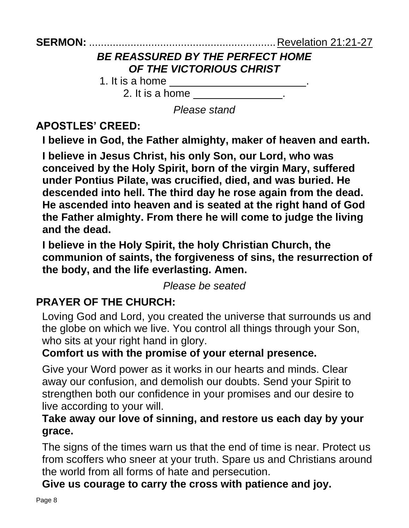# *BE REASSURED BY THE PERFECT HOME OF THE VICTORIOUS CHRIST*

1. It is a home \_\_\_\_\_\_\_\_\_\_\_\_\_\_\_\_\_\_\_\_\_\_\_.

2. It is a home \_\_\_\_\_\_\_\_\_\_\_\_\_\_.

*Please stand*

# **APOSTLES' CREED:**

**I believe in God, the Father almighty, maker of heaven and earth.**

**I believe in Jesus Christ, his only Son, our Lord, who was conceived by the Holy Spirit, born of the virgin Mary, suffered under Pontius Pilate, was crucified, died, and was buried. He descended into hell. The third day he rose again from the dead. He ascended into heaven and is seated at the right hand of God the Father almighty. From there he will come to judge the living and the dead.**

**I believe in the Holy Spirit, the holy Christian Church, the communion of saints, the forgiveness of sins, the resurrection of the body, and the life everlasting. Amen.**

*Please be seated*

# **PRAYER OF THE CHURCH:**

Loving God and Lord, you created the universe that surrounds us and the globe on which we live. You control all things through your Son, who sits at your right hand in glory.

## **Comfort us with the promise of your eternal presence.**

Give your Word power as it works in our hearts and minds. Clear away our confusion, and demolish our doubts. Send your Spirit to strengthen both our confidence in your promises and our desire to live according to your will.

## **Take away our love of sinning, and restore us each day by your grace.**

The signs of the times warn us that the end of time is near. Protect us from scoffers who sneer at your truth. Spare us and Christians around the world from all forms of hate and persecution.

**Give us courage to carry the cross with patience and joy.**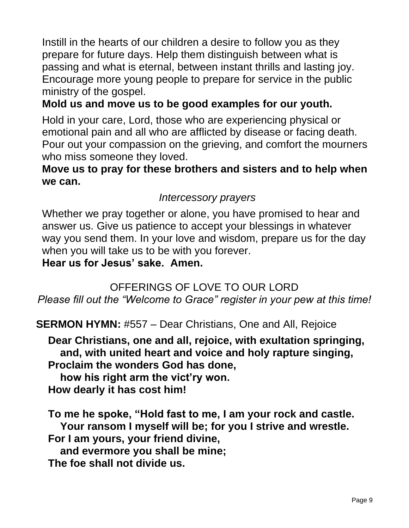Instill in the hearts of our children a desire to follow you as they prepare for future days. Help them distinguish between what is passing and what is eternal, between instant thrills and lasting joy. Encourage more young people to prepare for service in the public ministry of the gospel.

## **Mold us and move us to be good examples for our youth.**

Hold in your care, Lord, those who are experiencing physical or emotional pain and all who are afflicted by disease or facing death. Pour out your compassion on the grieving, and comfort the mourners who miss someone they loved.

## **Move us to pray for these brothers and sisters and to help when we can.**

## *Intercessory prayers*

Whether we pray together or alone, you have promised to hear and answer us. Give us patience to accept your blessings in whatever way you send them. In your love and wisdom, prepare us for the day when you will take us to be with you forever.

## **Hear us for Jesus' sake. Amen.**

## OFFERINGS OF LOVE TO OUR LORD *Please fill out the "Welcome to Grace" register in your pew at this time!*

**SERMON HYMN:** #557 – Dear Christians, One and All, Rejoice

**Dear Christians, one and all, rejoice, with exultation springing, and, with united heart and voice and holy rapture singing, Proclaim the wonders God has done,**

**how his right arm the vict'ry won. How dearly it has cost him!**

**To me he spoke, "Hold fast to me, I am your rock and castle. Your ransom I myself will be; for you I strive and wrestle. For I am yours, your friend divine, and evermore you shall be mine; The foe shall not divide us.**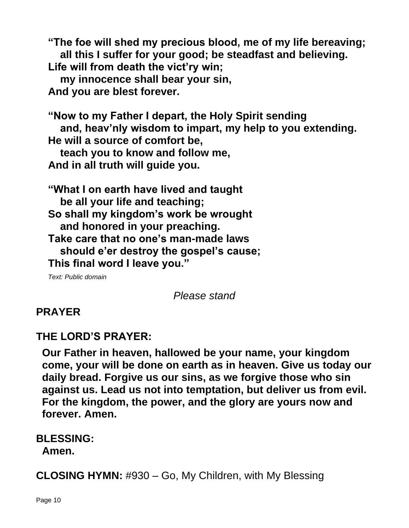**"The foe will shed my precious blood, me of my life bereaving; all this I suffer for your good; be steadfast and believing. Life will from death the vict'ry win; my innocence shall bear your sin, And you are blest forever.**

**"Now to my Father I depart, the Holy Spirit sending and, heav'nly wisdom to impart, my help to you extending. He will a source of comfort be, teach you to know and follow me,**

**And in all truth will guide you.**

**"What I on earth have lived and taught be all your life and teaching; So shall my kingdom's work be wrought and honored in your preaching. Take care that no one's man-made laws should e'er destroy the gospel's cause; This final word I leave you."**

*Text: Public domain*

*Please stand*

# **PRAYER**

# **THE LORD'S PRAYER:**

**Our Father in heaven, hallowed be your name, your kingdom come, your will be done on earth as in heaven. Give us today our daily bread. Forgive us our sins, as we forgive those who sin against us. Lead us not into temptation, but deliver us from evil. For the kingdom, the power, and the glory are yours now and forever. Amen.**

#### **BLESSING: Amen.**

**CLOSING HYMN:** #930 – Go, My Children, with My Blessing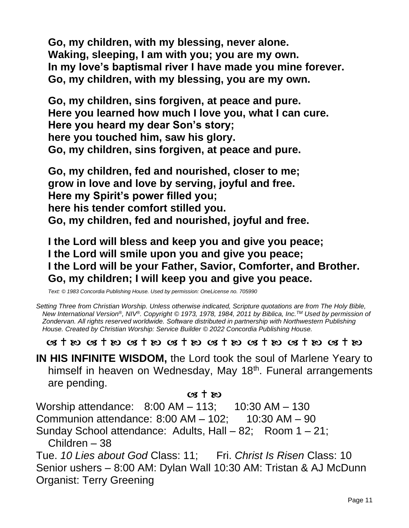**Go, my children, with my blessing, never alone. Waking, sleeping, I am with you; you are my own. In my love's baptismal river I have made you mine forever. Go, my children, with my blessing, you are my own.**

**Go, my children, sins forgiven, at peace and pure. Here you learned how much I love you, what I can cure. Here you heard my dear Son's story; here you touched him, saw his glory. Go, my children, sins forgiven, at peace and pure.**

**Go, my children, fed and nourished, closer to me; grow in love and love by serving, joyful and free. Here my Spirit's power filled you; here his tender comfort stilled you. Go, my children, fed and nourished, joyful and free.**

**I the Lord will bless and keep you and give you peace; I the Lord will smile upon you and give you peace; I the Lord will be your Father, Savior, Comforter, and Brother. Go, my children; I will keep you and give you peace.**

*Text: © 1983 Concordia Publishing House. Used by permission: OneLicense no. 705990*

*Setting Three from Christian Worship. Unless otherwise indicated, Scripture quotations are from The Holy Bible, New International Version®, NIV®. Copyright © 1973, 1978, 1984, 2011 by Biblica, Inc.TM Used by permission of Zondervan. All rights reserved worldwide. Software distributed in partnership with Northwestern Publishing House. Created by Christian Worship: Service Builder © 2022 Concordia Publishing House.*

 $\alpha$  + so  $\alpha$  + so  $\alpha$  + so  $\alpha$  + so  $\alpha$  + so  $\alpha$  + so  $\alpha$  + so  $\alpha$  + so

**IN HIS INFINITE WISDOM,** the Lord took the soul of Marlene Yeary to himself in heaven on Wednesday, May 18<sup>th</sup>. Funeral arrangements are pending.

#### $\alpha$  +  $\infty$

Worship attendance: 8:00 AM – 113; 10:30 AM – 130

Communion attendance: 8:00 AM – 102; 10:30 AM – 90

Sunday School attendance: Adults, Hall – 82; Room 1 – 21;

Children – 38

Tue. *10 Lies about God* Class: 11; Fri. *Christ Is Risen* Class: 10 Senior ushers – 8:00 AM: Dylan Wall 10:30 AM: Tristan & AJ McDunn Organist: Terry Greening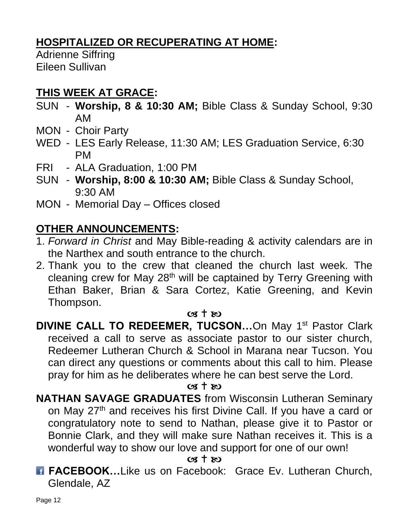# **HOSPITALIZED OR RECUPERATING AT HOME:**

Adrienne Siffring Eileen Sullivan

# **THIS WEEK AT GRACE:**

- SUN **Worship, 8 & 10:30 AM;** Bible Class & Sunday School, 9:30 AM
- MON Choir Party
- WED LES Early Release, 11:30 AM; LES Graduation Service, 6:30 PM
- FRI ALA Graduation, 1:00 PM
- SUN **Worship, 8:00 & 10:30 AM;** Bible Class & Sunday School, 9:30 AM
- MON Memorial Day Offices closed

# **OTHER ANNOUNCEMENTS:**

- 1. *Forward in Christ* and May Bible-reading & activity calendars are in the Narthex and south entrance to the church.
- 2. Thank you to the crew that cleaned the church last week. The cleaning crew for May 28th will be captained by Terry Greening with Ethan Baker, Brian & Sara Cortez, Katie Greening, and Kevin Thompson.

#### $\alpha$  +  $\infty$

**DIVINE CALL TO REDEEMER, TUCSON...**On May 1<sup>st</sup> Pastor Clark received a call to serve as associate pastor to our sister church, Redeemer Lutheran Church & School in Marana near Tucson. You can direct any questions or comments about this call to him. Please pray for him as he deliberates where he can best serve the Lord.

#### $\alpha$  t  $\kappa$

**NATHAN SAVAGE GRADUATES** from Wisconsin Lutheran Seminary on May 27<sup>th</sup> and receives his first Divine Call. If you have a card or congratulatory note to send to Nathan, please give it to Pastor or Bonnie Clark, and they will make sure Nathan receives it. This is a wonderful way to show our love and support for one of our own!

 $\alpha$  +  $\omega$ 

**FACEBOOK...Like us on Facebook: Grace Ev. Lutheran Church,** Glendale, AZ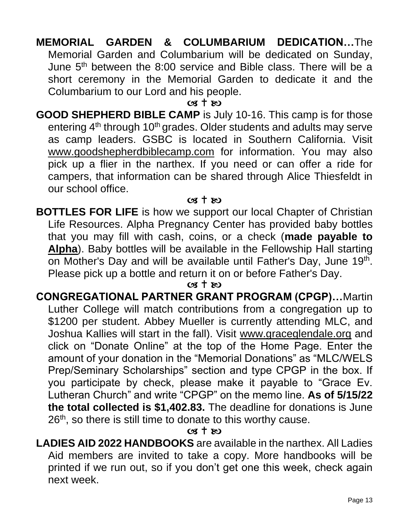## **MEMORIAL GARDEN & COLUMBARIUM DEDICATION…**The Memorial Garden and Columbarium will be dedicated on Sunday, June 5th between the 8:00 service and Bible class. There will be a short ceremony in the Memorial Garden to dedicate it and the Columbarium to our Lord and his people.

#### $cs + sc$

**GOOD SHEPHERD BIBLE CAMP** is July 10-16. This camp is for those entering 4<sup>th</sup> through 10<sup>th</sup> grades. Older students and adults may serve as camp leaders. GSBC is located in Southern California. Visit [www.goodshepherdbiblecamp.com](http://www.goodshepherdbiblecamp.com/) for information. You may also pick up a flier in the narthex. If you need or can offer a ride for campers, that information can be shared through Alice Thiesfeldt in our school office.

#### $\alpha$  +  $\alpha$

**BOTTLES FOR LIFE** is how we support our local Chapter of Christian Life Resources. Alpha Pregnancy Center has provided baby bottles that you may fill with cash, coins, or a check (**made payable to Alpha**). Baby bottles will be available in the Fellowship Hall starting on Mother's Day and will be available until Father's Day, June 19<sup>th</sup>. Please pick up a bottle and return it on or before Father's Day.

#### $\alpha$  t  $\infty$

**CONGREGATIONAL PARTNER GRANT PROGRAM (CPGP)…**Martin Luther College will match contributions from a congregation up to \$1200 per student. Abbey Mueller is currently attending MLC, and Joshua Kallies will start in the fall). Visit [www.graceglendale.org](http://www.graceglendale.org/) and click on "Donate Online" at the top of the Home Page. Enter the amount of your donation in the "Memorial Donations" as "MLC/WELS Prep/Seminary Scholarships" section and type CPGP in the box. If you participate by check, please make it payable to "Grace Ev. Lutheran Church" and write "CPGP" on the memo line. **As of 5/15/22 the total collected is \$1,402.83.** The deadline for donations is June 26<sup>th</sup>, so there is still time to donate to this worthy cause.

#### $\alpha$  t  $\infty$

**LADIES AID 2022 HANDBOOKS** are available in the narthex. All Ladies Aid members are invited to take a copy. More handbooks will be printed if we run out, so if you don't get one this week, check again next week.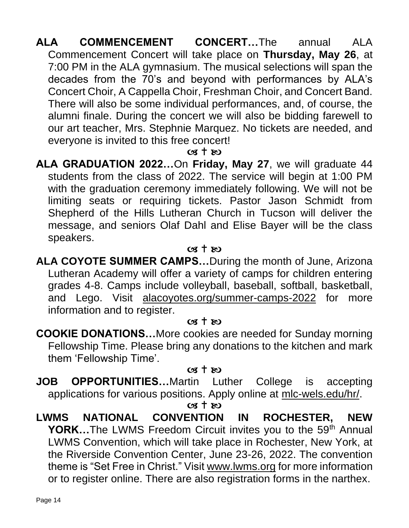**ALA COMMENCEMENT CONCERT…**The annual ALA Commencement Concert will take place on **Thursday, May 26**, at 7:00 PM in the ALA gymnasium. The musical selections will span the decades from the 70's and beyond with performances by ALA's Concert Choir, A Cappella Choir, Freshman Choir, and Concert Band. There will also be some individual performances, and, of course, the alumni finale. During the concert we will also be bidding farewell to our art teacher, Mrs. Stephnie Marquez. No tickets are needed, and everyone is invited to this free concert!

#### $\alpha$  t  $\infty$

**ALA GRADUATION 2022…**On **Friday, May 27**, we will graduate 44 students from the class of 2022. The service will begin at 1:00 PM with the graduation ceremony immediately following. We will not be limiting seats or requiring tickets. Pastor Jason Schmidt from Shepherd of the Hills Lutheran Church in Tucson will deliver the message, and seniors Olaf Dahl and Elise Bayer will be the class speakers.

#### $cs + \infty$

**ALA COYOTE SUMMER CAMPS…**During the month of June, Arizona Lutheran Academy will offer a variety of camps for children entering grades 4-8. Camps include volleyball, baseball, softball, basketball, and Lego. Visit [alacoyotes.org/summer-camps-2022](http://alacoyotes.org/summer-camps-2022) for more information and to register.

#### $cs + \infty$

**COOKIE DONATIONS…**More cookies are needed for Sunday morning Fellowship Time. Please bring any donations to the kitchen and mark them 'Fellowship Time'.

#### $(98 + R)$

**JOB OPPORTUNITIES…**Martin Luther College is accepting applications for various positions. Apply online at [mlc-wels.edu/hr/.](https://r20.rs6.net/tn.jsp?f=001LcbseUAWgwnRwLYhDVNmMg7-tpLUQ1_iz98JVrWrCBcCQ_PTbgIZD3SIsBAp-0aXejeyBtzMpRWxXPgxvOfe5c5C6Po8TswBhfxJCxGUS7MvXJqOLXqLLhFZNWl6P-ejup1vFxxXslVpKv5qX77tLg==&c=JZM8CxgguSAN-jcigjGws6dGlHKpoCI7eKH-pQLjFQ6wDs7FTzzZJw==&ch=LOL90ch9EZn6Xf5dGpJWegbLS8I6yz0SO4X9GQhMKplfdUAyRAbzCA==)

 $\alpha$  +  $\infty$ 

**LWMS NATIONAL CONVENTION IN ROCHESTER, NEW YORK...The LWMS Freedom Circuit invites you to the 59<sup>th</sup> Annual** LWMS Convention, which will take place in Rochester, New York, at the Riverside Convention Center, June 23-26, 2022. The convention theme is "Set Free in Christ." Visit [www.lwms.org](http://www.lwms.org/) for more information or to register online. There are also registration forms in the narthex.